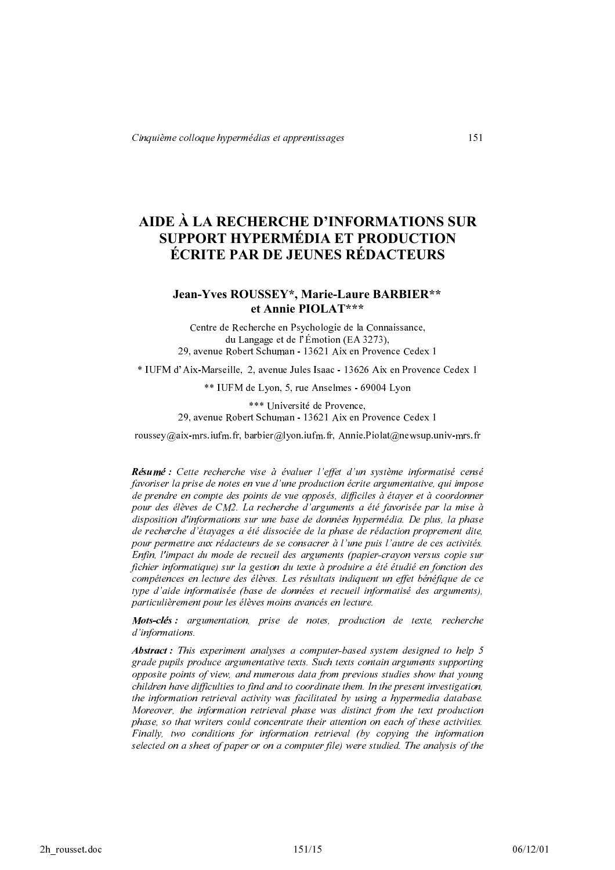# AIDE À LA RECHERCHE D'INFORMATIONS SUR **SUPPORT HYPERMÉDIA ET PRODUCTION ÉCRITE PAR DE JEUNES RÉDACTEURS**

# Jean-Yves ROUSSEY\*, Marie-Laure BARBIER\*\* et Annie PIOLAT\*\*\*

Centre de Recherche en Psychologie de la Connaissance, du Langage et de l'Émotion (EA 3273), 29. avenue Robert Schuman - 13621 Aix en Provence Cedex 1

\* IUFM d'Aix-Marseille, 2, avenue Jules Isaac - 13626 Aix en Provence Cedex 1

\*\* IUFM de Lyon, 5, rue Anselmes - 69004 Lyon

\*\*\* Université de Provence, 29. avenue Robert Schuman - 13621 Aix en Provence Cedex 1

roussey@aix-mrs.iufm.fr, barbier@lyon.iufm.fr, Annie.Piolat@newsup.univ-mrs.fr

Résumé : Cette recherche vise à évaluer l'effet d'un système informatisé censé favoriser la prise de notes en vue d'une production écrite argumentative, qui impose de prendre en compte des points de vue opposés, difficiles à étayer et à coordonner pour des élèves de CM2. La recherche d'arguments a été favorisée par la mise à disposition d'informations sur une base de données hypermédia. De plus, la phase de recherche d'étayages a été dissociée de la phase de rédaction proprement dite, pour permettre aux rédacteurs de se consacrer à l'une puis l'autre de ces activités. Enfin, l'impact du mode de recueil des arguments (papier-crayon versus copie sur fichier informatique) sur la gestion du texte à produire a été étudié en fonction des compétences en lecture des élèves. Les résultats indiquent un effet bénéfique de ce type d'aide informatisée (base de données et recueil informatisé des arguments), particulièrement pour les élèves moins avancés en lecture.

Mots-clés : argumentation, prise de notes, production de texte, recherche d'informations.

Abstract: This experiment analyses a computer-based system designed to help 5 grade pupils produce argumentative texts. Such texts contain arguments supporting opposite points of view, and numerous data from previous studies show that young children have difficulties to find and to coordinate them. In the present investigation, the information retrieval activity was facilitated by using a hypermedia database. Moreover, the information retrieval phase was distinct from the text production phase, so that writers could concentrate their attention on each of these activities. Finally, two conditions for information retrieval (by copying the information selected on a sheet of paper or on a computer file) were studied. The analysis of the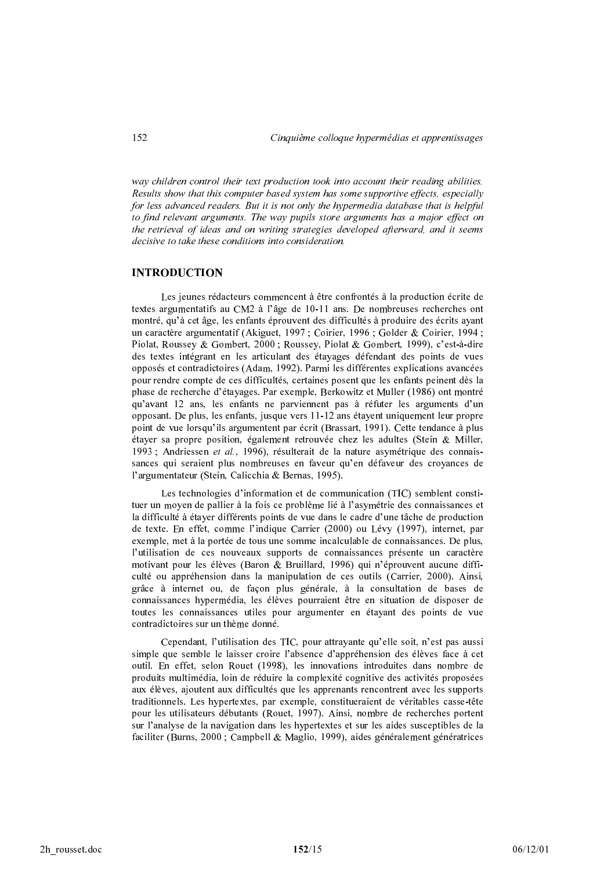way children control their text production took into account their reading abilities. Results show that this computer based system has some supportive effects, especially for less advanced readers. But it is not only the hypermedia database that is helpful to find relevant arguments. The way pupils store arguments has a major effect on the retrieval of ideas and on writing strategies developed afterward, and it seems decisive to take these conditions into consideration.

# **INTRODUCTION**

Les jeunes rédacteurs commencent à être confrontés à la production écrite de textes argumentatifs au CM2 à l'âge de 10-11 ans. De nombreuses recherches ont montré, qu'à cet âge, les enfants éprouvent des difficultés à produire des écrits ayant un caractère argumentatif (Akiguet, 1997 ; Coirier, 1996 ; Golder & Coirier, 1994 ; Piolat, Roussey & Gombert, 2000; Roussey, Piolat & Gombert, 1999), c'est-à-dire des textes intégrant en les articulant des étayages défendant des points de vues opposés et contradictoires (Adam, 1992). Parmi les différentes explications avancées pour rendre compte de ces difficultés, certaines posent que les enfants peinent dès la phase de recherche d'étayages. Par exemple, Berkowitz et Muller (1986) ont montré qu'avant 12 ans, les enfants ne parviennent pas à réfuter les arguments d'un opposant. De plus, les enfants, jusque vers 11-12 ans étayent uniquement leur propre point de vue lorsqu'ils argumentent par écrit (Brassart, 1991). Cette tendance à plus étayer sa propre position, également retrouvée chez les adultes (Stein & Miller, 1993 ; Andriessen et al., 1996), résulterait de la nature asymétrique des connaissances qui seraient plus nombreuses en faveur qu'en défaveur des croyances de l'argumentateur (Stein, Calicchia & Bernas, 1995).

Les technologies d'information et de communication (TIC) semblent constituer un moyen de pallier à la fois ce problème lié à l'asymétrie des connaissances et la difficulté à étaver différents points de vue dans le cadre d'une tâche de production de texte. En effet, comme l'indique Carrier (2000) ou Lévy (1997), internet, par exemple, met à la portée de tous une somme incalculable de connaissances. De plus, l'utilisation de ces nouveaux supports de connaissances présente un caractère motivant pour les élèves (Baron & Bruillard, 1996) qui n'éprouvent aucune difficulté ou appréhension dans la manipulation de ces outils (Carrier, 2000). Ainsi, grâce à internet ou, de façon plus générale, à la consultation de bases de connaissances hypermédia. les élèves pourraient être en situation de disposer de toutes les connaissances utiles pour argumenter en étayant des points de vue contradictoires sur un thème donné

Cependant, l'utilisation des TIC, pour attrayante qu'elle soit, n'est pas aussi simple que semble le laisser croire l'absence d'appréhension des élèves face à cet outil. En effet, selon Rouet (1998), les innovations introduites dans nombre de produits multimédia, loin de réduire la complexité cognitive des activités proposées aux élèves, ajoutent aux difficultés que les apprenants rencontrent avec les supports traditionnels. Les hypertextes, par exemple, constitueraient de véritables casse-tête pour les utilisateurs débutants (Rouet, 1997). Ainsi, nombre de recherches portent sur l'analyse de la navigation dans les hypertextes et sur les aides susceptibles de la faciliter (Burns, 2000 ; Campbell & Maglio, 1999), aides généralement génératrices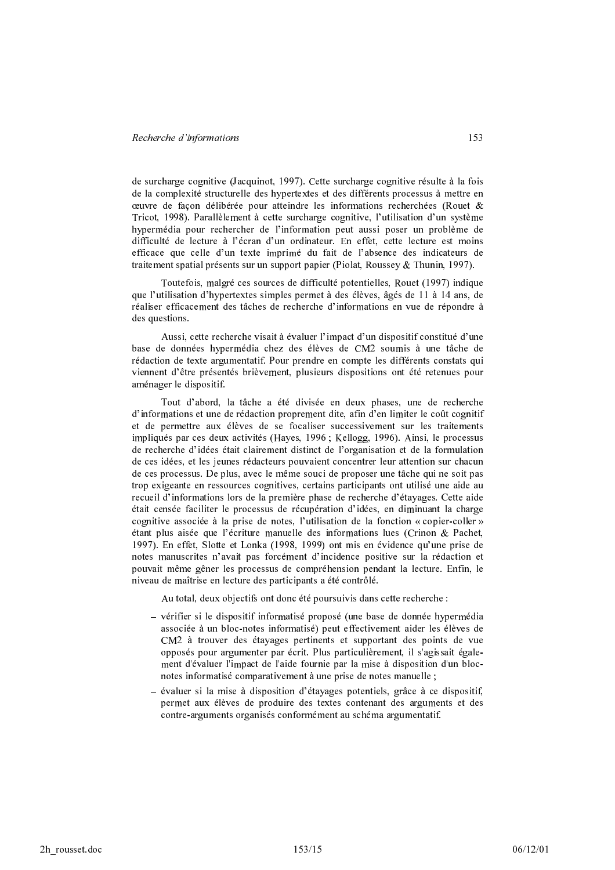de surcharge cognitive (Jacquinot, 1997). Cette surcharge cognitive résulte à la fois de la complexité structurelle des hypertextes et des différents processus à mettre en œuvre de façon délibérée pour atteindre les informations recherchées (Rouet & Tricot, 1998). Parallèlement à cette surcharge cognitive, l'utilisation d'un système hypermédia pour rechercher de l'information peut aussi poser un problème de difficulté de lecture à l'écran d'un ordinateur. En effet, cette lecture est moins efficace que celle d'un texte imprimé du fait de l'absence des indicateurs de traitement spatial présents sur un support papier (Piolat, Roussey & Thunin, 1997).

Toutefois, malgré ces sources de difficulté potentielles, Rouet (1997) indique que l'utilisation d'hypertextes simples permet à des élèves, âgés de 11 à 14 ans, de réaliser efficacement des tâches de recherche d'informations en vue de répondre à des questions.

Aussi, cette recherche visait à évaluer l'impact d'un dispositif constitué d'une base de données hypermédia chez des élèves de CM2 soumis à une tâche de rédaction de texte argumentatif. Pour prendre en compte les différents constats qui viennent d'être présentés brièvement, plusieurs dispositions ont été retenues pour aménager le dispositif.

Tout d'abord, la tâche a été divisée en deux phases, une de recherche d'informations et une de rédaction proprement dite, afin d'en limiter le coût cognitif et de permettre aux élèves de se focaliser successivement sur les traitements impliqués par ces deux activités (Hayes, 1996; Kellogg, 1996). Ainsi, le processus de recherche d'idées était clairement distinct de l'organisation et de la formulation de ces idées, et les jeunes rédacteurs pouvaient concentrer leur attention sur chacun de ces processus. De plus, avec le même souci de proposer une tâche qui ne soit pas trop exigeante en ressources cognitives, certains participants ont utilisé une aide au recueil d'informations lors de la première phase de recherche d'étavages. Cette aide était censée faciliter le processus de récupération d'idées, en diminuant la charge cognitive associée à la prise de notes, l'utilisation de la fonction « copier-coller » étant plus aisée que l'écriture manuelle des informations lues (Crinon & Pachet, 1997). En effet, Slotte et Lonka (1998, 1999) ont mis en évidence qu'une prise de notes manuscrites n'avait pas forcément d'incidence positive sur la rédaction et pouvait même gêner les processus de compréhension pendant la lecture. Enfin, le niveau de maîtrise en lecture des participants a été contrôlé.

Au total, deux objectifs ont donc été poursuivis dans cette recherche :

- vérifier si le dispositif informatisé proposé (une base de donnée hypermédia associée à un bloc-notes informatisé) peut effectivement aider les élèves de CM2 à trouver des étayages pertinents et supportant des points de vue opposés pour argumenter par écrit. Plus particulièrement, il s'agissait également d'évaluer l'impact de l'aide fournie par la mise à disposition d'un blocnotes informatisé comparativement à une prise de notes manuelle ;
- évaluer si la mise à disposition d'étayages potentiels, grâce à ce dispositif, permet aux élèves de produire des textes contenant des arguments et des contre-arguments organisés conformément au schéma argumentatif.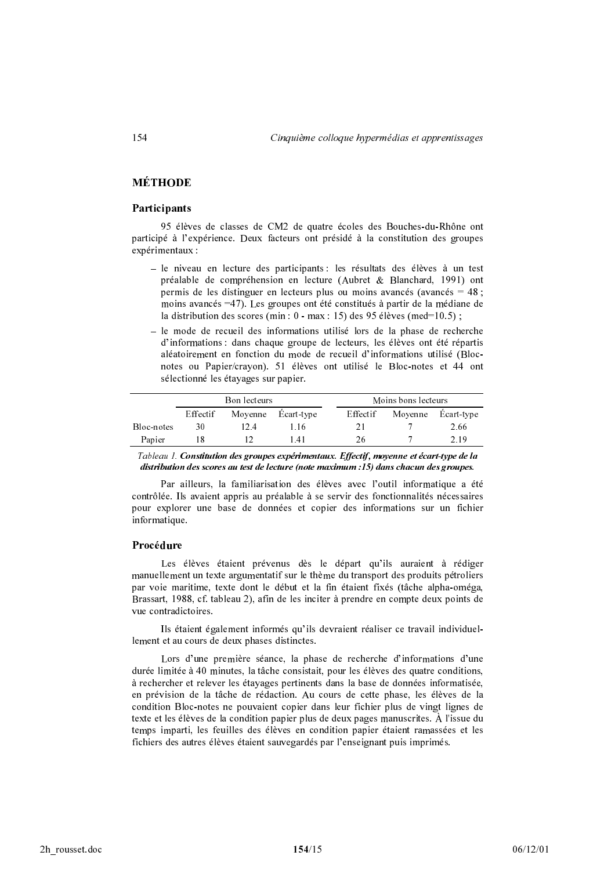# **MÉTHODE**

# Participants

95 élèves de classes de CM2 de quatre écoles des Bouches-du-Rhône ont participé à l'expérience. Deux facteurs ont présidé à la constitution des groupes expérimentaux :

- $-$  le niveau en lecture des participants : les résultats des élèves à un test préalable de compréhension en lecture (Aubret & Blanchard, 1991) ont permis de les distinguer en lecteurs plus ou moins avancés (avancés = 48 ; moins avancés =47). Les groupes ont été constitués à partir de la médiane de la distribution des scores (min :  $0$  - max : 15) des 95 élèves (med=10.5) ;
- le mode de recueil des informations utilisé lors de la phase de recherche d'informations : dans chaque groupe de lecteurs, les élèves ont été répartis aléatoirement en fonction du mode de recueil d'informations utilisé (Blocnotes ou Papier/crayon). 51 élèves ont utilisé le Bloc-notes et 44 ont sélectionné les étayages sur papier.

|            | Bon lecteurs |         |            |          | Moins bons lecteurs |            |  |
|------------|--------------|---------|------------|----------|---------------------|------------|--|
|            | Effectif     | Moyenne | Ecart-type | Effectif | Moyenne             | Ecart-type |  |
| Bloc-notes | 30           | 12.4    | 1 16       | 21       |                     | 2.66       |  |
| Papier     |              |         | 14 I       | 26       |                     | 2.19       |  |

Tableau 1. Constitution des groupes expérimentaux. Effectif, moyenne et écart-type de la distribution des scores au test de lecture (note maximum :15) dans chacun des groupes.

Par ailleurs, la familiarisation des élèves avec l'outil informatique a été contrôlée. Ils avaient appris au préalable à se servir des fonctionnalités nécessaires pour explorer une base de données et copier des informations sur un fichier informatique.

### Procédure

Les élèves étaient prévenus dès le départ qu'ils auraient à rédiger manuellement un texte argumentatif sur le thème du transport des produits pétroliers par voie maritime, texte dont le début et la fin étaient fixés (tâche alpha-oméga, Brassart, 1988, cf. tableau 2), afin de les inciter à prendre en compte deux points de vue contradictoires.

Ils étaient également informés qu'ils devraient réaliser ce travail individuellement et au cours de deux phases distinctes.

Lors d'une première séance, la phase de recherche d'informations d'une durée limitée à 40 minutes, la tâche consistait, pour les élèves des quatre conditions, à rechercher et relever les étayages pertinents dans la base de données informatisée, en prévision de la tâche de rédaction. Au cours de cette phase, les élèves de la condition Bloc-notes ne pouvaient copier dans leur fichier plus de vingt lignes de texte et les élèves de la condition papier plus de deux pages manuscrites. A l'issue du temps imparti, les feuilles des élèves en condition papier étaient ramassées et les fichiers des autres élèves étaient sauvegardés par l'enseignant puis imprimés.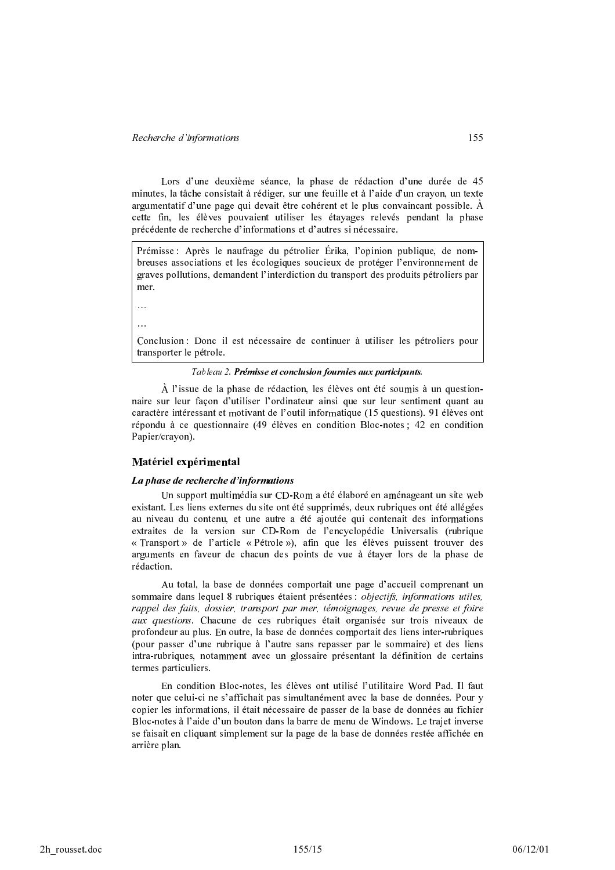Lors d'une deuxième séance, la phase de rédaction d'une durée de 45 minutes, la tâche consistait à rédiger, sur une feuille et à l'aide d'un crayon, un texte argumentatif d'une page qui devait être cohérent et le plus convaincant possible. A cette fin, les élèves pouvaient utiliser les étayages relevés pendant la phase précédente de recherche d'informations et d'autres si nécessaire.

Prémisse : Après le naufrage du pétrolier Erika, l'opinion publique, de nombreuses associations et les écologiques soucieux de protéger l'environnement de graves pollutions, demandent l'interdiction du transport des produits pétroliers par mer.

 $\ddotsc$ 

 $\ddotsc$ 

Conclusion : Donc il est nécessaire de continuer à utiliser les pétroliers pour transporter le pétrole.

Tableau 2. Prémisse et conclusion fournies aux participants.

A l'issue de la phase de rédaction, les élèves ont été soumis à un questionnaire sur leur façon d'utiliser l'ordinateur ainsi que sur leur sentiment quant au caractère intéressant et motivant de l'outil informatique (15 questions). 91 élèves ont répondu à ce questionnaire (49 élèves en condition Bloc-notes ; 42 en condition Papier/crayon).

# Matériel expérimental

# La phase de recherche d'informations

Un support multimédia sur CD-Rom a été élaboré en aménageant un site web existant. Les liens externes du site ont été supprimés, deux rubriques ont été allégées au niveau du contenu, et une autre a été ajoutée qui contenait des informations extraites de la version sur CD-Rom de l'encyclopédie Universalis (rubrique « Transport » de l'article « Pétrole »), afin que les élèves puissent trouver des arguments en faveur de chacun des points de vue à étayer lors de la phase de rédaction.

Au total, la base de données comportait une page d'accueil comprenant un sommaire dans lequel 8 rubriques étaient présentées : *objectifs, informations utiles,* rappel des faits, dossier, transport par mer, témoignages, revue de presse et foire aux questions. Chacune de ces rubriques était organisée sur trois niveaux de profondeur au plus. En outre, la base de données comportait des liens inter-rubriques (pour passer d'une rubrique à l'autre sans repasser par le sommaire) et des liens intra-rubriques, notamment avec un glossaire présentant la définition de certains termes particuliers.

En condition Bloc-notes, les élèves ont utilisé l'utilitaire Word Pad. Il faut noter que celui-ci ne s'affichait pas simultanément avec la base de données. Pour y copier les informations, il était nécessaire de passer de la base de données au fichier Bloc-notes à l'aide d'un bouton dans la barre de menu de Windows. Le trajet inverse se faisait en cliquant simplement sur la page de la base de données restée affichée en arrière plan.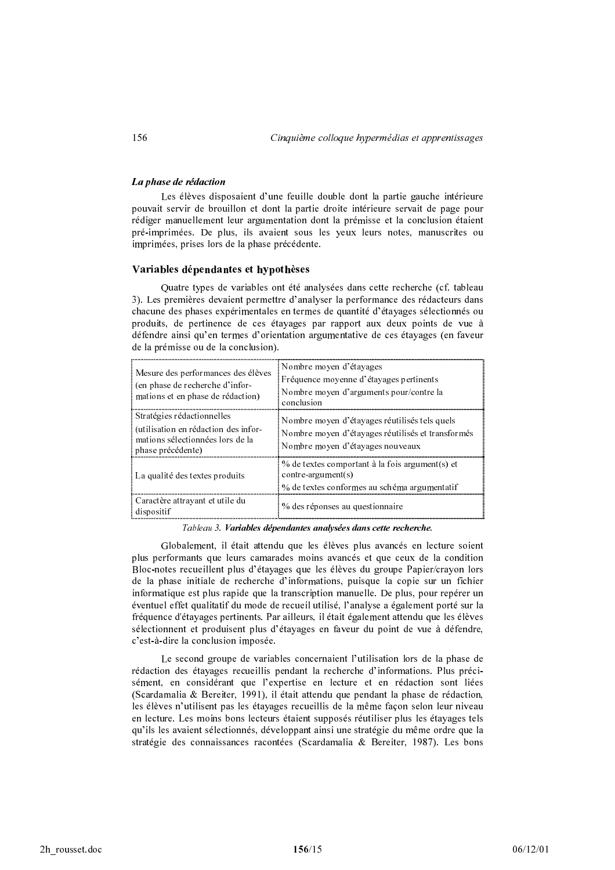### La phase de rédaction

Les élèves disposaient d'une feuille double dont la partie gauche intérieure pouvait servir de brouillon et dont la partie droite intérieure servait de page pour rédiger manuellement leur argumentation dont la prémisse et la conclusion étaient pré-imprimées. De plus, ils avaient sous les yeux leurs notes, manuscrites ou imprimées, prises lors de la phase précédente.

# Variables dépendantes et hypothèses

Quatre types de variables ont été analysées dans cette recherche (cf. tableau 3). Les premières devaient permettre d'analyser la performance des rédacteurs dans chacune des phases expérimentales en termes de quantité d'étayages sélectionnés ou produits, de pertinence de ces étayages par rapport aux deux points de vue à défendre ainsi qu'en termes d'orientation argumentative de ces étayages (en faveur de la prémisse ou de la conclusion).

| Mesure des performances des élèves<br>: (en phase de recherche d'infor-<br>mations et en phase de rédaction)                  | Nombre moyen d'étayages<br>Fréquence moyenne d'étayages pertinents<br>Nombre moyen d'arguments pour/contre la<br>conclusion            |
|-------------------------------------------------------------------------------------------------------------------------------|----------------------------------------------------------------------------------------------------------------------------------------|
| Stratégies rédactionnelles<br>: (utilisation en rédaction des infor-<br>mations sélectionnées lors de la<br>phase précédente) | Nombre moyen d'étayages réutilisés tels quels<br>Nombre moyen d'étayages réutilisés et transformés<br>Nombre moyen d'étayages nouveaux |
| : La qualité des textes produits                                                                                              | % de textes comportant à la fois argument(s) et<br>$control = argument(s)$<br>% de textes conformes au schéma argumentatif             |
| : Caractère attrayant et utile du<br>dispositif                                                                               | % des réponses au questionnaire                                                                                                        |

Tableau 3. Variables dépendantes analysées dans cette recherche.

Globalement, il était attendu que les élèves plus avancés en lecture soient plus performants que leurs camarades moins avancés et que ceux de la condition Bloc-notes recueillent plus d'étayages que les élèves du groupe Papier/crayon lors de la phase initiale de recherche d'informations, puisque la copie sur un fichier informatique est plus rapide que la transcription manuelle. De plus, pour repérer un éventuel effet qualitatif du mode de recueil utilisé, l'analyse a également porté sur la fréquence d'étayages pertinents. Par ailleurs, il était également attendu que les élèves sélectionnent et produisent plus d'étayages en faveur du point de vue à défendre, c'est-à-dire la conclusion imposée.

Le second groupe de variables concernaient l'utilisation lors de la phase de rédaction des étayages recueillis pendant la recherche d'informations. Plus précisément, en considérant que l'expertise en lecture et en rédaction sont liées (Scardamalia & Bereiter, 1991), il était attendu que pendant la phase de rédaction, les élèves n'utilisent pas les étayages recueillis de la même façon selon leur niveau en lecture. Les moins bons lecteurs étaient supposés réutiliser plus les étayages tels qu'ils les avaient sélectionnés, développant ainsi une stratégie du même ordre que la stratégie des connaissances racontées (Scardamalia & Bereiter, 1987). Les bons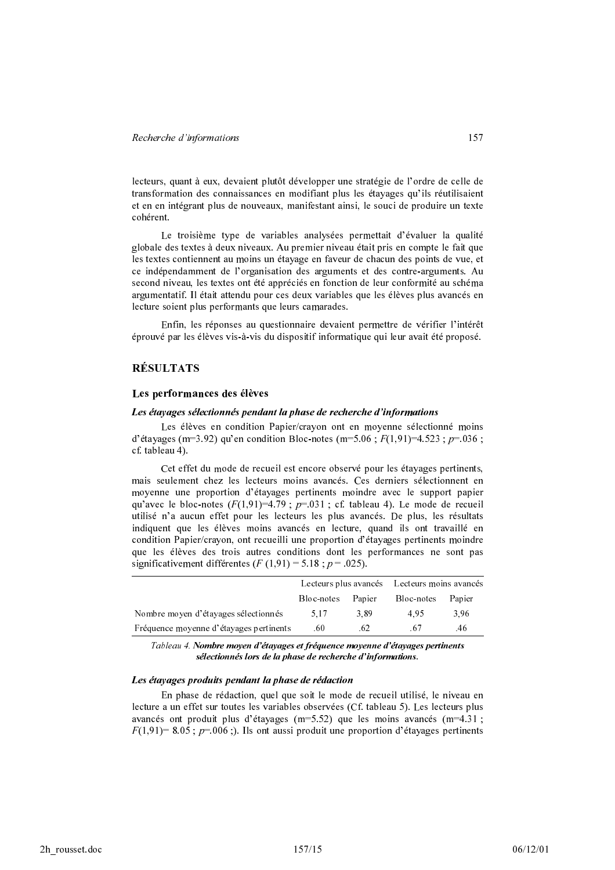lecteurs, quant à eux, devaient plutôt développer une stratégie de l'ordre de celle de transformation des connaissances en modifiant plus les étayages qu'ils réutilisaient et en en intégrant plus de nouveaux, manifestant ainsi, le souci de produire un texte cohérent.

Le troisième type de variables analysées permettait d'évaluer la qualité globale des textes à deux niveaux. Au premier niveau était pris en compte le fait que les textes contiennent au moins un étayage en faveur de chacun des points de vue, et ce indépendamment de l'organisation des arguments et des contre-arguments. Au second niveau, les textes ont été appréciés en fonction de leur conformité au schéma argumentatif. Il était attendu pour ces deux variables que les élèves plus avancés en lecture soient plus performants que leurs camarades.

Enfin, les réponses au questionnaire devaient permettre de vérifier l'intérêt éprouvé par les élèves vis-à-vis du dispositif informatique qui leur avait été proposé.

# RÉSULTATS

### Les performances des élèves

#### Les étayages sélectionnés pendant la phase de recherche d'informations

Les élèves en condition Papier/crayon ont en moyenne sélectionné moins d'étayages (m=3.92) qu'en condition Bloc-notes (m=5.06 ;  $F(1,91)$ =4.523 ;  $p$ =.036 ; cf. tableau 4).

Cet effet du mode de recueil est encore observé pour les étayages pertinents, mais seulement chez les lecteurs moins avancés. Ces derniers sélectionnent en moyenne une proportion d'étayages pertinents moindre avec le support papier qu'avec le bloc-notes  $(F(1,91)=4.79 \ ; \ p=031 \ ;$  cf. tableau 4). Le mode de recueil utilisé n'a aucun effet pour les lecteurs les plus avancés. De plus, les résultats indiquent que les élèves moins avancés en lecture, quand ils ont travaillé en condition Papier/crayon, ont recueilli une proportion d'étayages pertinents moindre que les élèves des trois autres conditions dont les performances ne sont pas significativement différentes  $(F(1,91) = 5.18 ; p = .025)$ .

|                                         |            |        | Lecteurs plus avancés Lecteurs moins avancés |        |
|-----------------------------------------|------------|--------|----------------------------------------------|--------|
|                                         | Bloc-notes | Papier | Bloc-notes                                   | Papier |
| Nombre moyen d'étayages sélectionnés    | 5.17       | 3.89   | 495                                          | 3.96   |
| Fréquence moyenne d'étayages pertinents | .60        | .62    | -67                                          | .46.   |

Tableau 4. Nombre moyen d'étayages et fréquence moyenne d'étayages pertinents sélectionnés lors de la phase de recherche d'informations.

#### Les étayages produits pendant la phase de rédaction

En phase de rédaction, quel que soit le mode de recueil utilisé, le niveau en lecture a un effet sur toutes les variables observées (Cf. tableau 5). Les lecteurs plus avancés ont produit plus d'étayages  $(m=5.52)$  que les moins avancés  $(m=4.31$  ;  $F(1,91)=8.05$  ;  $p=006$  ;). Ils ont aussi produit une proportion d'étayages pertinents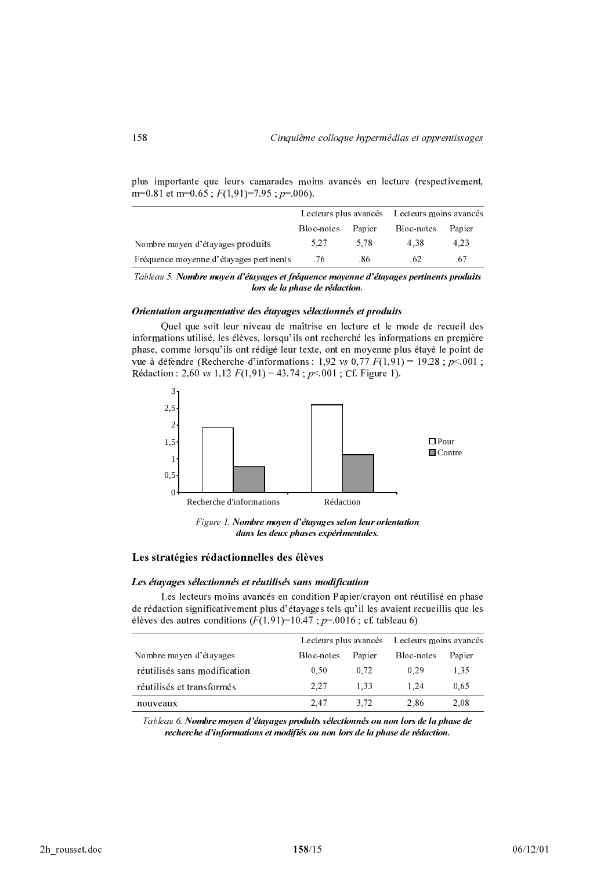|                                         |            |        | Lecteurs plus avancés Lecteurs moins avancés |        |
|-----------------------------------------|------------|--------|----------------------------------------------|--------|
|                                         | Bloc-notes | Papier | Bloc-notes                                   | Papier |
| Nombre moyen d'étayages produits        | 5.27       | 5.78   | 4.38                                         | 4.23   |
| Fréquence moyenne d'étayages pertinents | .76        | .86    | .62                                          | .67    |

plus importante que leurs camarades moins avancés en lecture (respectivement, m=0.81 et m=0.65 ;  $F(1,91)$ =7.95 ;  $p=006$ ).

Tableau 5. Nombre moyen d'étayages et fréquence moyenne d'étayages pertinents produits lors de la phase de rédaction.

#### Orientation argumentative des étayages sélectionnés et produits

Quel que soit leur niveau de maîtrise en lecture et le mode de recueil des informations utilisé, les élèves, lorsqu'ils ont recherché les informations en première phase, comme lorsqu'ils ont rédigé leur texte, ont en moyenne plus étayé le point de vue à défendre (Recherche d'informations : 1,92 *vs* 0,77  $F(1,91) = 19.28$  ;  $p<.001$  ; Rédaction : 2,60 vs 1,12  $F(1,91) = 43.74$ ;  $p<001$ ; Cf. Figure 1).



Figure 1. Nombre moyen d'étayages selon leur orientation dans les deux phases expérimentales.

# Les stratégies rédactionnelles des élèves

#### Les étayages sélectionnés et réutilisés sans modification

Les lecteurs moins avancés en condition Papier/crayon ont réutilisé en phase de rédaction significativement plus d'étayages tels qu'il les avaient recueillis que les élèves des autres conditions ( $F(1,91)$ =10.47 ;  $p$ =.0016 ; cf. tableau 6)

|                              |            |        | Lecteurs plus avancés Lecteurs moins avancés |        |
|------------------------------|------------|--------|----------------------------------------------|--------|
| Nombre moyen d'étayages      | Bloc-notes | Papier | Bloc-notes                                   | Papier |
| réutilisés sans modification | 0.50       | 0.72   | 0.29                                         | 1.35   |
| réutilisés et transformés    | 2.27       | 1.33   | 1.24                                         | 0.65   |
| nouveaux                     | 2.47       | 3.72   | 2.86                                         | 2.08   |

Tableau 6. Nombre moyen d'étayages produits sélectionnés ou non lors de la phase de recherche d'informations et modifiés ou non lors de la phase de rédaction.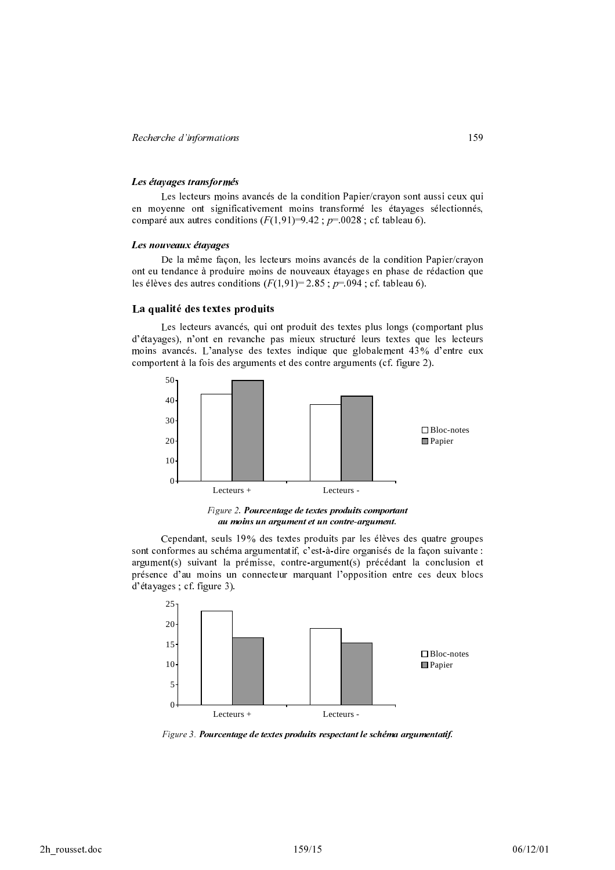#### Les étayages transformés

Les lecteurs moins avancés de la condition Papier/crayon sont aussi ceux qui en moyenne ont significativement moins transformé les étayages sélectionnés, comparé aux autres conditions  $(F(1,91)=9.42; p=.0028; cf.$  tableau 6).

#### Les nouveaux étayages

De la même façon, les lecteurs moins avancés de la condition Papier/crayon ont eu tendance à produire moins de nouveaux étayages en phase de rédaction que les élèves des autres conditions  $(F(1,91)= 2.85 : p=.094 : cf.$  tableau 6).

### La qualité des textes produits

Les lecteurs avancés, qui ont produit des textes plus longs (comportant plus d'étavages), n'ont en revanche pas mieux structuré leurs textes que les lecteurs moins avancés. L'analyse des textes indique que globalement 43% d'entre eux comportent à la fois des arguments et des contre arguments (cf. figure 2).



Figure 2. Pourcentage de textes produits comportant au moins un argument et un contre-argument.

Cependant, seuls 19% des textes produits par les élèves des quatre groupes sont conformes au schéma argumentatif, c'est-à-dire organisés de la façon suivante : argument(s) suivant la prémisse, contre-argument(s) précédant la conclusion et présence d'au moins un connecteur marquant l'opposition entre ces deux blocs  $d'$ étayages ; cf. figure 3).



Figure 3. Pourcentage de textes produits respectant le schéma argumentatif.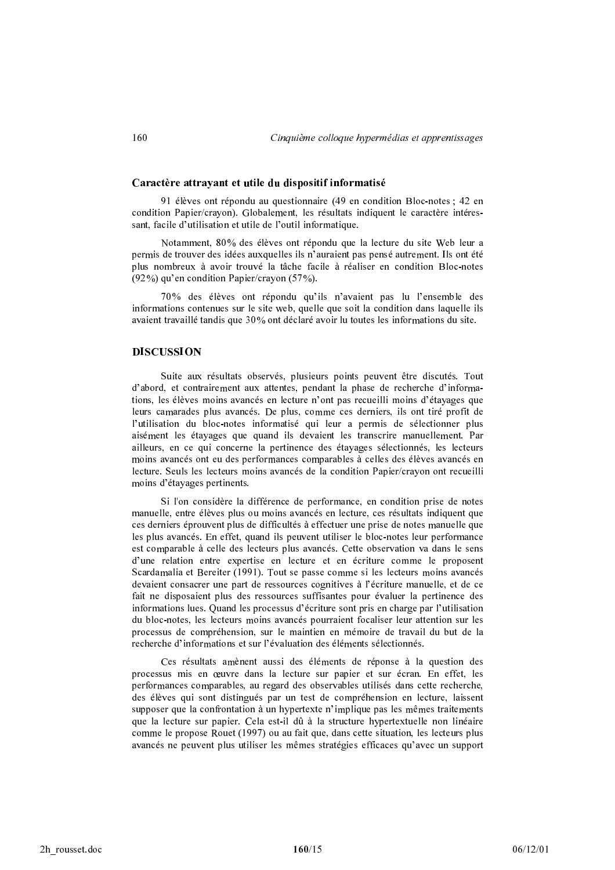## Caractère attravant et utile du dispositif informatisé

91 élèves ont répondu au questionnaire (49 en condition Bloc-notes ; 42 en  $\,$ condition Papier/crayon). Globalement, les résultats indiquent le caractère intéres- $\mathop{\mathsf{isant}}, \mathop{\mathsf{facile}}$  d'utilisation et utile de l'outil informatique.

Notamment, 80% des élèves ont répondu que la lecture du site Web leur a permis de trouver des idées auxquelles ils n'auraient pas pensé autrement. Ils ont été plus nombreux à avoir trouvé la tâche facile à réaliser en condition Bloc-notes  $(92\%)$  qu'en condition Papier/crayon  $(57\%)$ .

70% des élèves ont répondu qu'ils n'avaient pas lu l'ensemble des informations contenues sur le site web, quelle que soit la condition dans laquelle ils avaient travaillé tandis que 30% ont déclaré avoir lu toutes les informations du site.

### **DISCUSSION**

Suite aux résultats observés, plusieurs points peuvent être discutés. Tout d'abord, et contrairement aux attentes, pendant la phase de recherche d'informations, les élèves moins avancés en lecture n'ont pas recueilli moins d'étayages que leurs camarades plus avancés. De plus, comme ces derniers, ils ont tiré profit de l'utilisation du bloc-notes informatisé qui leur a permis de sélectionner plus aisément les étayages que quand ils devaient les transcrire manuellement. Par ailleurs, en ce qui concerne la pertinence des étayages sélectionnés, les lecteurs moins avancés ont eu des performances comparables à celles des élèves avancés en lecture. Seuls les lecteurs moins avancés de la condition Papier/crayon ont recueilli moins d'étayages pertinents.

Si l'on considère la différence de performance, en condition prise de notes manuelle, entre élèves plus ou moins avancés en lecture, ces résultats indiquent que ces derniers éprouvent plus de difficultés à effectuer une prise de notes manuelle que les plus avancés. En effet, quand ils peuvent utiliser le bloc-notes leur performance est comparable à celle des lecteurs plus avancés. Cette observation va dans le sens d'une relation entre expertise en lecture et en écriture comme le proposent Scardamalia et Bereiter (1991). Tout se passe comme si les lecteurs moins avancés devaient consacrer une part de ressources cognitives à l'écriture manuelle, et de ce fait ne disposaient plus des ressources suffisantes pour évaluer la pertinence des informations lues. Quand les processus d'écriture sont pris en charge par l'utilisation du bloc-notes, les lecteurs moins avancés pourraient focaliser leur attention sur les processus de compréhension, sur le maintien en mémoire de travail du but de la  $\epsilon$  recherche d'informations et sur l'évaluation des éléments sélectionnés.

Ces résultats amènent aussi des éléments de réponse à la question des processus mis en œuvre dans la lecture sur papier et sur écran. En effet, les performances comparables, au regard des observables utilisés dans cette recherche, des élèves qui sont distingués par un test de compréhension en lecture, laissent supposer que la confrontation à un hypertexte n'implique pas les mêmes traitements que la lecture sur papier. Cela est-il dû à la structure hypertextuelle non linéaire comme le propose Rouet (1997) ou au fait que, dans cette situation, les lecteurs plus avancés ne peuvent plus utiliser les mêmes stratégies efficaces qu'avec un support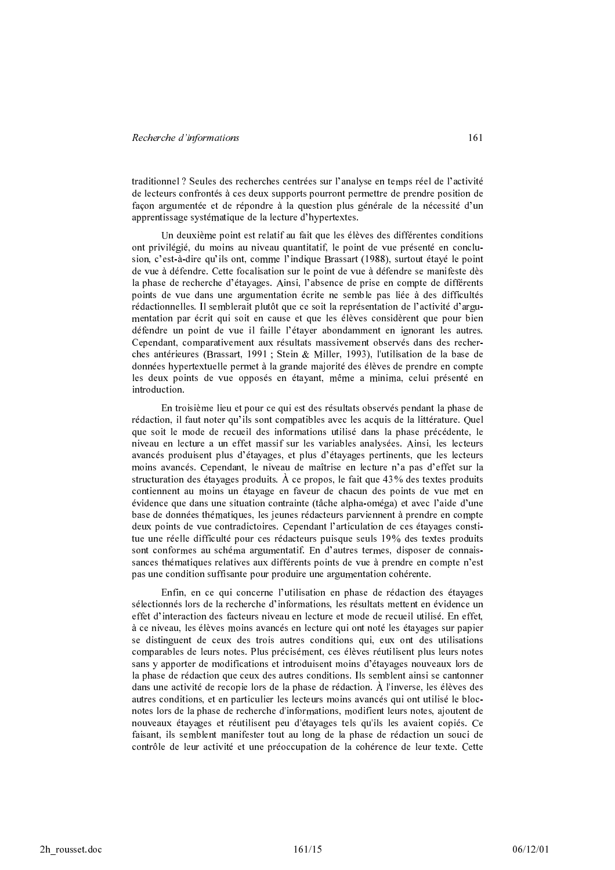traditionnel ? Seules des recherches centrées sur l'analyse en temps réel de l'activité de lecteurs confrontés à ces deux supports pourront permettre de prendre position de façon argumentée et de répondre à la question plus générale de la nécessité d'un apprentissage systématique de la lecture d'hypertextes.

Un deuxième point est relatif au fait que les élèves des différentes conditions ont privilégié, du moins au niveau quantitatif, le point de vue présenté en conclusion, c'est-à-dire qu'ils ont, comme l'indique Brassart (1988), surtout étayé le point de vue à défendre. Cette focalisation sur le point de vue à défendre se manifeste dès la phase de recherche d'étavages. Ainsi, l'absence de prise en compte de différents points de vue dans une argumentation écrite ne semble pas liée à des difficultés rédactionnelles. Il semblerait plutôt que ce soit la représentation de l'activité d'argumentation par écrit qui soit en cause et que les élèves considèrent que pour bien défendre un point de vue il faille l'étayer abondamment en ignorant les autres. Cependant, comparativement aux résultats massivement observés dans des recherches antérieures (Brassart, 1991 ; Stein & Miller, 1993), l'utilisation de la base de données hypertextuelle permet à la grande majorité des élèves de prendre en compte les deux points de vue opposés en étayant, même a minima, celui présenté en introduction.

En troisième lieu et pour ce qui est des résultats observés pendant la phase de rédaction, il faut noter qu'ils sont compatibles avec les acquis de la littérature. Quel que soit le mode de recueil des informations utilisé dans la phase précédente, le niveau en lecture a un effet massif sur les variables analysées. Ainsi, les lecteurs avancés produisent plus d'étayages, et plus d'étayages pertinents, que les lecteurs moins avancés. Cenendant, le niveau de maîtrise en lecture n'a pas d'effet sur la structuration des étayages produits. À ce propos, le fait que  $43\%$  des textes produits contiennent au moins un étayage en faveur de chacun des points de vue met en évidence que dans une situation contrainte (tâche alpha-oméga) et avec l'aide d'une base de données thématiques, les jeunes rédacteurs parviennent à prendre en compte deux points de vue contradictoires. Cependant l'articulation de ces étayages constitue une réelle difficulté pour ces rédacteurs puisque seuls 19% des textes produits sont conformes au schéma argumentatif. En d'autres termes, disposer de connaissances thématiques relatives aux différents points de vue à prendre en compte n'est pas une condition suffisante pour produire une argumentation cohérente.

Enfin, en ce qui concerne l'utilisation en phase de rédaction des étayages sélectionnés lors de la recherche d'informations, les résultats mettent en évidence un effet d'interaction des facteurs niveau en lecture et mode de recueil utilisé. En effet. à ce niveau, les élèves moins avancés en lecture qui ont noté les étayages sur papier se distinguent de ceux des trois autres conditions qui, eux ont des utilisations comparables de leurs notes. Plus précisément, ces élèves réutilisent plus leurs notes sans y apporter de modifications et introduisent moins d'étayages nouveaux lors de la phase de rédaction que ceux des autres conditions. Ils semblent ainsi se cantonner dans une activité de recopie lors de la phase de rédaction. À l'inverse, les élèves des autres conditions, et en particulier les lecteurs moins avancés qui ont utilisé le blocnotes lors de la phase de recherche d'informations, modifient leurs notes, ajoutent de nouveaux étayages et réutilisent peu d'étayages tels qu'ils les avaient copiés. Ce faisant, ils semblent manifester tout au long de la phase de rédaction un souci de contrôle de leur activité et une préoccupation de la cohérence de leur texte. Cette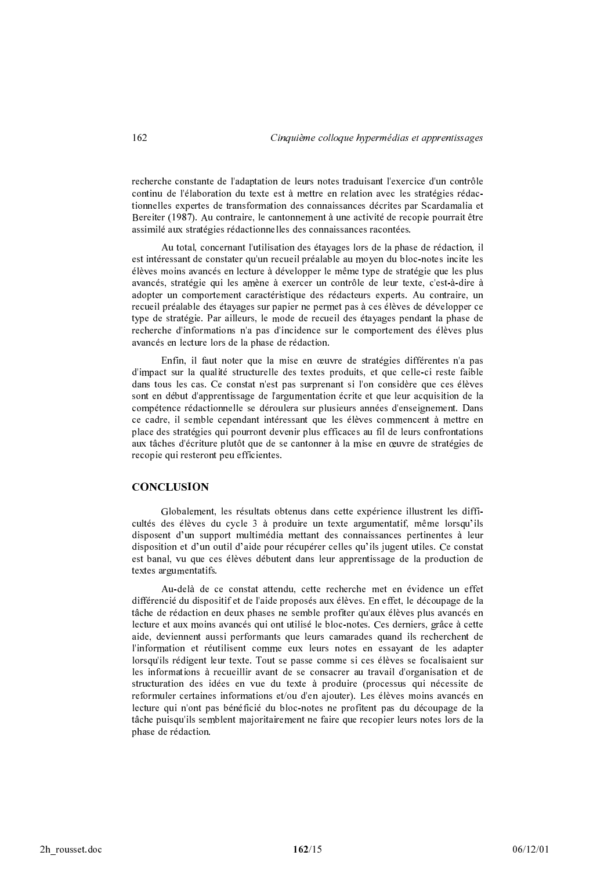recherche constante de l'adaptation de leurs notes traduisant l'exercice d'un contrôle continu de l'élaboration du texte est à mettre en relation avec les stratégies rédactionnelles expertes de transformation des connaissances décrites par Scardamalia et Bereiter (1987). Au contraire, le cantonnement à une activité de recopie pourrait être assimilé aux stratégies rédactionnelles des connaissances racontées.

Au total, concernant l'utilisation des étayages lors de la phase de rédaction, il est intéressant de constater qu'un recueil préalable au moyen du bloc-notes incite les élèves moins avancés en lecture à développer le même type de stratégie que les plus avancés, stratégie qui les amène à exercer un contrôle de leur texte, c'est-à-dire à adopter un comportement caractéristique des rédacteurs experts. Au contraire, un recueil préalable des étayages sur papier ne permet pas à ces élèves de développer ce type de stratégie. Par ailleurs, le mode de recueil des étayages pendant la phase de recherche d'informations n'a pas d'incidence sur le comportement des élèves plus avancés en lecture lors de la phase de rédaction.

Enfin, il faut noter que la mise en œuvre de stratégies différentes n'a pas d'impact sur la qualité structurelle des textes produits, et que celle-ci reste faible dans tous les cas. Ce constat n'est pas surprenant si l'on considère que ces élèves sont en début d'apprentissage de l'argumentation écrite et que leur acquisition de la compétence rédactionnelle se déroulera sur plusieurs années d'enseignement. Dans ce cadre, il semble cependant intéressant que les élèves commencent à mettre en place des stratégies qui pourront devenir plus efficaces au fil de leurs confrontations aux tâches d'écriture plutôt que de se cantonner à la mise en œuvre de stratégies de recopie qui resteront peu efficientes.

# **CONCLUSION**

Globalement, les résultats obtenus dans cette expérience illustrent les difficultés des élèves du cycle 3 à produire un texte argumentatif, même lorsqu'ils disposent d'un support multimédia mettant des connaissances pertinentes à leur disposition et d'un outil d'aide pour récupérer celles qu'ils jugent utiles. Ce constat est banal, vu que ces élèves débutent dans leur apprentissage de la production de textes argumentatifs.

Au-delà de ce constat attendu, cette recherche met en évidence un effet différencié du dispositif et de l'aide proposés aux élèves. En effet, le découpage de la tâche de rédaction en deux phases ne semble profiter qu'aux élèves plus avancés en lecture et aux moins avancés qui ont utilisé le bloc-notes. Ces derniers, grâce à cette aide, deviennent aussi performants que leurs camarades quand ils recherchent de l'information et réutilisent comme eux leurs notes en essayant de les adapter lorsqu'ils rédigent leur texte. Tout se passe comme si ces élèves se focalisaient sur les informations à recueillir avant de se consacrer au travail d'organisation et de structuration des idées en vue du texte à produire (processus qui nécessite de reformuler certaines informations et/ou d'en ajouter). Les élèves moins avancés en lecture qui n'ont pas bénéficié du bloc-notes ne profitent pas du découpage de la tâche puisqu'ils semblent majoritairement ne faire que recopier leurs notes lors de la phase de rédaction.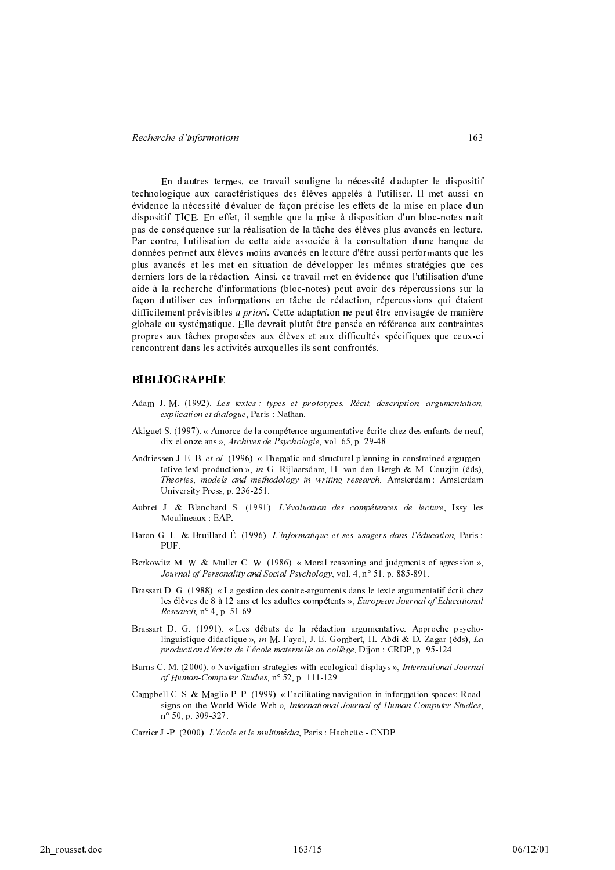En d'autres termes, ce travail souligne la nécessité d'adapter le dispositif technologique aux caractéristiques des élèves appelés à l'utiliser. Il met aussi en évidence la nécessité d'évaluer de façon précise les effets de la mise en place d'un dispositif TICE. En effet, il semble que la mise à disposition d'un bloc-notes n'ait pas de conséquence sur la réalisation de la tâche des élèves plus avancés en lecture. Par contre, l'utilisation de cette aide associée à la consultation d'une banque de données permet aux élèves moins avancés en lecture d'être aussi performants que les plus avancés et les met en situation de développer les mêmes stratégies que ces derniers lors de la rédaction. Ainsi, ce travail met en évidence que l'utilisation d'une aide à la recherche d'informations (bloc-notes) peut avoir des répercussions sur la façon d'utiliser ces informations en tâche de rédaction, répercussions qui étaient difficilement prévisibles *a priori*. Cette adaptation ne peut être envisagée de manière globale ou systématique. Elle devrait plutôt être pensée en référence aux contraintes propres aux tâches proposées aux élèves et aux difficultés spécifiques que ceux-ci rencontrent dans les activités auxquelles ils sont confrontés.

# **BIBLIOGRAPHIE**

- Adam J. M. (1992). Les textes : types et prototypes. Récit, description, argumentation, explication et dialogue, Paris : Nathan.
- Akiguet S. (1997). « Amorce de la compétence argumentative écrite chez des enfants de neuf, dix et onze ans », Archives de Psychologie, vol. 65, p. 29-48.
- Andriessen J. E. B. et al.  $(1996)$ . « Thematic and structural planning in constrained argumentative text production », in G. Rijlaarsdam, H. van den Bergh & M. Couzjin (éds), Theories, models and methodology in writing research, Amsterdam: Amsterdam University Press, p. 236-251.
- Aubret J. & Blanchard S. (1991). L'évaluation des compétences de lecture, Issy les Moulineaux: EAP.
- Baron G.-L. & Bruillard É. (1996). L'informatique et ses usagers dans l'éducation. Paris : PUF.
- Berkowitz M. W. & Muller C. W. (1986). « Moral reasoning and judgments of agression », Journal of Personality and Social Psychology, vol. 4, nº 51, p. 885-891.
- Brassart D. G. (1988). « La gestion des contre-arguments dans le texte argumentatif écrit chez les élèves de 8 à 12 ans et les adultes compétents », European Journal of Educational Research,  $n^{\circ}$  4, p. 51-69.
- Brassart D. G. (1991). «Les débuts de la rédaction argumentative. Approche psycholinguistique didactique », in M. Fayol, J. E. Gombert, H. Abdi & D. Zagar (éds), La production d'écrits de l'école maternelle au collège, Dijon : CRDP, p. 95-124.
- Burns C. M. (2000). « Navigation strategies with ecological displays », International Journal of Human-Computer Studies, n° 52, p. 111-129.
- Campbell C. S. & Maglio P. P. (1999). «Facilitating navigation in information spaces: Roadsigns on the World Wide Web », International Journal of Human-Computer Studies,  $n^{\circ}$  50, p. 309-327.
- Carrier J. P. (2000). L'école et le multimédia, Paris : Hachette CNDP.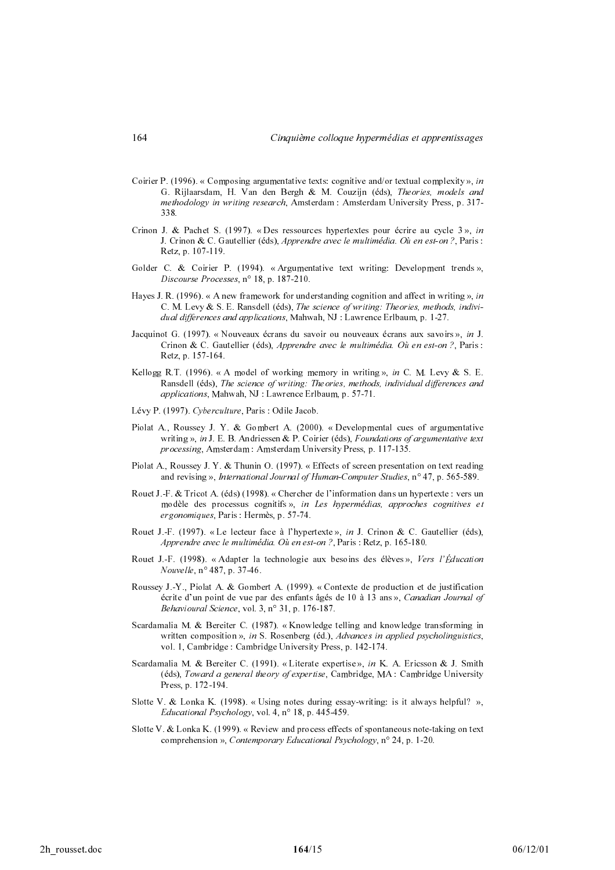- Coirier P. (1996). « Composing argumentative texts: cognitive and/or textual complexity », in G. Rijlaarsdam, H. Van den Bergh & M. Couzijn (éds), Theories, models and methodology in writing research, Amsterdam : Amsterdam University Press, p. 317-338.
- Crinon J. & Pachet S. (1997). « Des ressources hypertextes pour écrire au cycle  $3$  ». in J. Crinon & C. Gautellier (éds), Apprendre avec le multimédia. Où en est-on ?, Paris : Retz, p. 107-119.
- Golder C. & Coirier P. (1994). « Argumentative text writing: Development trends », Discourse Processes, n° 18, p. 187-210.
- Haves J. R. (1996). « A new framework for understanding cognition and affect in writing », in C. M. Levy & S. E. Ransdell (éds), The science of writing: Theories, methods, individual differences and applications, Mahwah, NJ: Lawrence Erlbaum, p. 1-27.
- Jacquinot G. (1997). « Nouveaux écrans du savoir ou nouveaux écrans aux savoirs », in J. Crinon & C. Gautellier (éds), Apprendre avec le multimédia. Où en est-on ?, Paris : Retz, p. 157-164.
- Kellogg R.T. (1996). « A model of working memory in writing », in C. M. Levy & S. E. Ransdell (éds), The science of writing: Theories, methods, individual differences and applications, Mahwah, NJ: Lawrence Erlbaum, p. 57-71.
- Lévy P. (1997). Cyberculture, Paris: Odile Jacob.
- Piolat A., Roussey J. Y. & Gombert A. (2000). «Developmental cues of argumentative writing », in J. E. B. Andriessen & P. Coirier (éds), Foundations of argumentative text processing, Amsterdam: Amsterdam University Press, p. 117-135.
- Piolat A., Roussey J. Y. & Thunin O. (1997). « Effects of screen presentation on text reading and revising », International Journal of Human-Computer Studies,  $n^{\circ}$  47, p. 565-589.
- Rouet J.-F. & Tricot A. (éds) (1998). « Chercher de l'information dans un hypertexte : vers un modèle des processus cognitifs», in Les hypermédias, approches cognitives et ergonomiques, Paris : Hermès, p. 57-74.
- Rouet J. F. (1997). « Le lecteur face à l'hypertexte », in J. Crinon & C. Gautellier (éds), Apprendre avec le multimédia. Où en est-on ?, Paris : Retz, p. 165-180.
- Rouet J.-F. (1998). « Adapter la technologie aux besoins des élèves », Vers l'Éducation Nouvelle, n° 487, p. 37-46.
- Roussey J. Y., Piolat A. & Gombert A. (1999). « Contexte de production et de justification écrite d'un point de vue par des enfants âgés de 10 à 13 ans ». Canadian Journal of Behavioural Science, vol. 3, nº 31, p. 176-187.
- Scardamalia M. & Bereiter C. (1987). «Knowledge telling and knowledge transforming in written composition », in S. Rosenberg (éd.), Advances in applied psycholinguistics, vol. 1, Cambridge : Cambridge University Press, p. 142-174.
- Scardamalia M. & Bereiter C. (1991). « Literate expertise », in K. A. Ericsson & J. Smith (éds), Toward a general theory of expertise, Cambridge, MA : Cambridge University Press, p. 172-194.
- Slotte V. & Lonka K. (1998). « Using notes during essay writing: is it always helpful? », Educational Psychology, vol. 4,  $n^{\circ}$  18, p. 445-459.
- Slotte V. & Lonka K. (1999). « Review and process effects of spontaneous note-taking on text comprehension », Contemporary Educational Psychology, n° 24, p. 1-20.